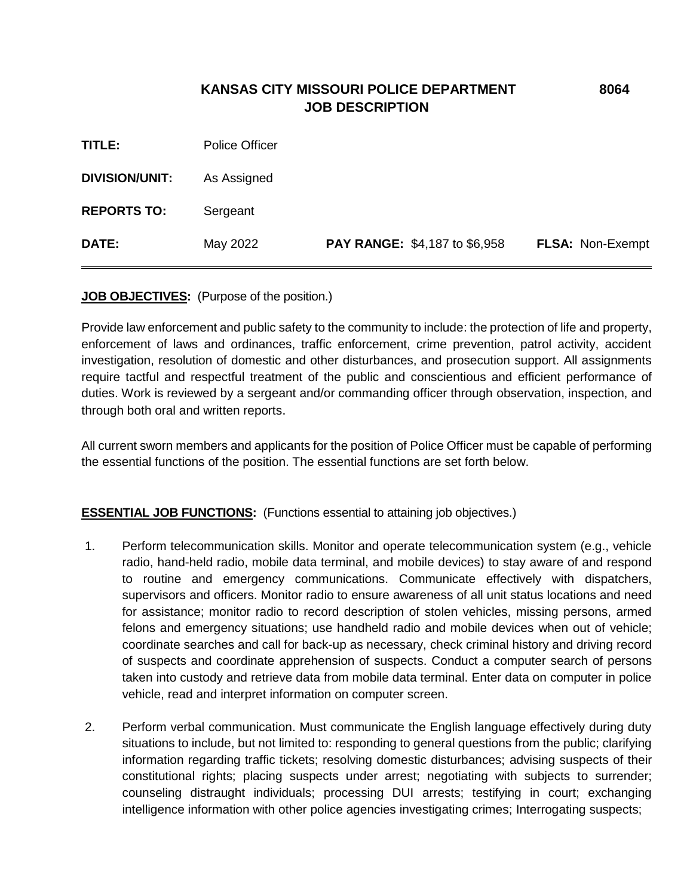## **KANSAS CITY MISSOURI POLICE DEPARTMENT 8064 JOB DESCRIPTION**

| <b>DIVISION/UNIT:</b> | As Assigned |                                      |                  |
|-----------------------|-------------|--------------------------------------|------------------|
| <b>REPORTS TO:</b>    | Sergeant    |                                      |                  |
| DATE:                 | May 2022    | <b>PAY RANGE: \$4,187 to \$6,958</b> | FLSA: Non-Exempt |

#### **JOB OBJECTIVES:** (Purpose of the position.)

Provide law enforcement and public safety to the community to include: the protection of life and property, enforcement of laws and ordinances, traffic enforcement, crime prevention, patrol activity, accident investigation, resolution of domestic and other disturbances, and prosecution support. All assignments require tactful and respectful treatment of the public and conscientious and efficient performance of duties. Work is reviewed by a sergeant and/or commanding officer through observation, inspection, and through both oral and written reports.

All current sworn members and applicants for the position of Police Officer must be capable of performing the essential functions of the position. The essential functions are set forth below.

#### **ESSENTIAL JOB FUNCTIONS:** (Functions essential to attaining job objectives.)

- 1. Perform telecommunication skills. Monitor and operate telecommunication system (e.g., vehicle radio, hand-held radio, mobile data terminal, and mobile devices) to stay aware of and respond to routine and emergency communications. Communicate effectively with dispatchers, supervisors and officers. Monitor radio to ensure awareness of all unit status locations and need for assistance; monitor radio to record description of stolen vehicles, missing persons, armed felons and emergency situations; use handheld radio and mobile devices when out of vehicle; coordinate searches and call for back-up as necessary, check criminal history and driving record of suspects and coordinate apprehension of suspects. Conduct a computer search of persons taken into custody and retrieve data from mobile data terminal. Enter data on computer in police vehicle, read and interpret information on computer screen.
- 2. Perform verbal communication. Must communicate the English language effectively during duty situations to include, but not limited to: responding to general questions from the public; clarifying information regarding traffic tickets; resolving domestic disturbances; advising suspects of their constitutional rights; placing suspects under arrest; negotiating with subjects to surrender; counseling distraught individuals; processing DUI arrests; testifying in court; exchanging intelligence information with other police agencies investigating crimes; Interrogating suspects;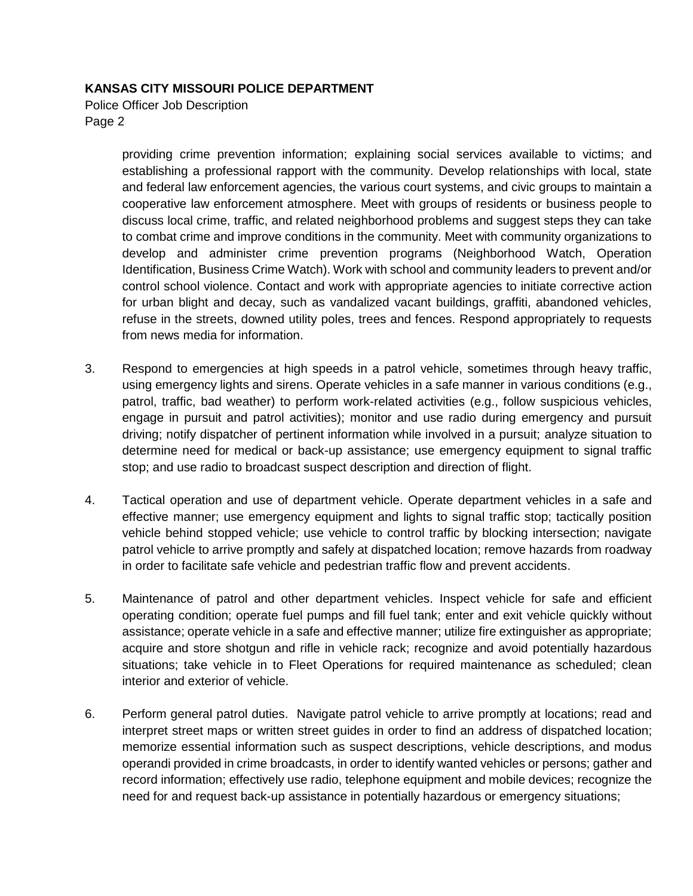Police Officer Job Description Page 2

> providing crime prevention information; explaining social services available to victims; and establishing a professional rapport with the community. Develop relationships with local, state and federal law enforcement agencies, the various court systems, and civic groups to maintain a cooperative law enforcement atmosphere. Meet with groups of residents or business people to discuss local crime, traffic, and related neighborhood problems and suggest steps they can take to combat crime and improve conditions in the community. Meet with community organizations to develop and administer crime prevention programs (Neighborhood Watch, Operation Identification, Business Crime Watch). Work with school and community leaders to prevent and/or control school violence. Contact and work with appropriate agencies to initiate corrective action for urban blight and decay, such as vandalized vacant buildings, graffiti, abandoned vehicles, refuse in the streets, downed utility poles, trees and fences. Respond appropriately to requests from news media for information.

- 3. Respond to emergencies at high speeds in a patrol vehicle, sometimes through heavy traffic, using emergency lights and sirens. Operate vehicles in a safe manner in various conditions (e.g., patrol, traffic, bad weather) to perform work-related activities (e.g., follow suspicious vehicles, engage in pursuit and patrol activities); monitor and use radio during emergency and pursuit driving; notify dispatcher of pertinent information while involved in a pursuit; analyze situation to determine need for medical or back-up assistance; use emergency equipment to signal traffic stop; and use radio to broadcast suspect description and direction of flight.
- 4. Tactical operation and use of department vehicle. Operate department vehicles in a safe and effective manner; use emergency equipment and lights to signal traffic stop; tactically position vehicle behind stopped vehicle; use vehicle to control traffic by blocking intersection; navigate patrol vehicle to arrive promptly and safely at dispatched location; remove hazards from roadway in order to facilitate safe vehicle and pedestrian traffic flow and prevent accidents.
- 5. Maintenance of patrol and other department vehicles. Inspect vehicle for safe and efficient operating condition; operate fuel pumps and fill fuel tank; enter and exit vehicle quickly without assistance; operate vehicle in a safe and effective manner; utilize fire extinguisher as appropriate; acquire and store shotgun and rifle in vehicle rack; recognize and avoid potentially hazardous situations; take vehicle in to Fleet Operations for required maintenance as scheduled; clean interior and exterior of vehicle.
- 6. Perform general patrol duties. Navigate patrol vehicle to arrive promptly at locations; read and interpret street maps or written street guides in order to find an address of dispatched location; memorize essential information such as suspect descriptions, vehicle descriptions, and modus operandi provided in crime broadcasts, in order to identify wanted vehicles or persons; gather and record information; effectively use radio, telephone equipment and mobile devices; recognize the need for and request back-up assistance in potentially hazardous or emergency situations;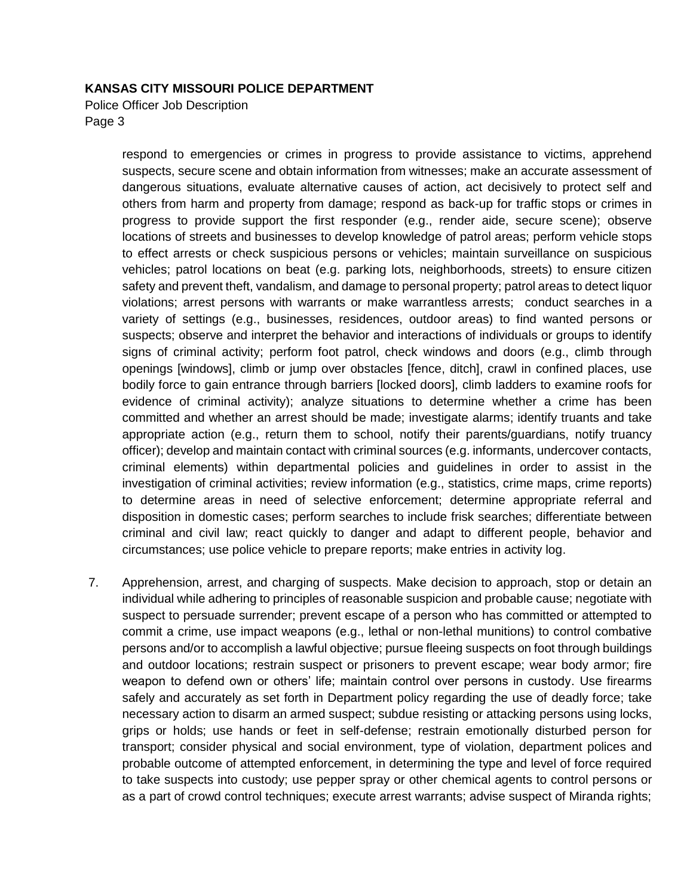Police Officer Job Description Page 3

> respond to emergencies or crimes in progress to provide assistance to victims, apprehend suspects, secure scene and obtain information from witnesses; make an accurate assessment of dangerous situations, evaluate alternative causes of action, act decisively to protect self and others from harm and property from damage; respond as back-up for traffic stops or crimes in progress to provide support the first responder (e.g., render aide, secure scene); observe locations of streets and businesses to develop knowledge of patrol areas; perform vehicle stops to effect arrests or check suspicious persons or vehicles; maintain surveillance on suspicious vehicles; patrol locations on beat (e.g. parking lots, neighborhoods, streets) to ensure citizen safety and prevent theft, vandalism, and damage to personal property; patrol areas to detect liquor violations; arrest persons with warrants or make warrantless arrests; conduct searches in a variety of settings (e.g., businesses, residences, outdoor areas) to find wanted persons or suspects; observe and interpret the behavior and interactions of individuals or groups to identify signs of criminal activity; perform foot patrol, check windows and doors (e.g., climb through openings [windows], climb or jump over obstacles [fence, ditch], crawl in confined places, use bodily force to gain entrance through barriers [locked doors], climb ladders to examine roofs for evidence of criminal activity); analyze situations to determine whether a crime has been committed and whether an arrest should be made; investigate alarms; identify truants and take appropriate action (e.g., return them to school, notify their parents/guardians, notify truancy officer); develop and maintain contact with criminal sources (e.g. informants, undercover contacts, criminal elements) within departmental policies and guidelines in order to assist in the investigation of criminal activities; review information (e.g., statistics, crime maps, crime reports) to determine areas in need of selective enforcement; determine appropriate referral and disposition in domestic cases; perform searches to include frisk searches; differentiate between criminal and civil law; react quickly to danger and adapt to different people, behavior and circumstances; use police vehicle to prepare reports; make entries in activity log.

7. Apprehension, arrest, and charging of suspects. Make decision to approach, stop or detain an individual while adhering to principles of reasonable suspicion and probable cause; negotiate with suspect to persuade surrender; prevent escape of a person who has committed or attempted to commit a crime, use impact weapons (e.g., lethal or non-lethal munitions) to control combative persons and/or to accomplish a lawful objective; pursue fleeing suspects on foot through buildings and outdoor locations; restrain suspect or prisoners to prevent escape; wear body armor; fire weapon to defend own or others' life; maintain control over persons in custody. Use firearms safely and accurately as set forth in Department policy regarding the use of deadly force; take necessary action to disarm an armed suspect; subdue resisting or attacking persons using locks, grips or holds; use hands or feet in self-defense; restrain emotionally disturbed person for transport; consider physical and social environment, type of violation, department polices and probable outcome of attempted enforcement, in determining the type and level of force required to take suspects into custody; use pepper spray or other chemical agents to control persons or as a part of crowd control techniques; execute arrest warrants; advise suspect of Miranda rights;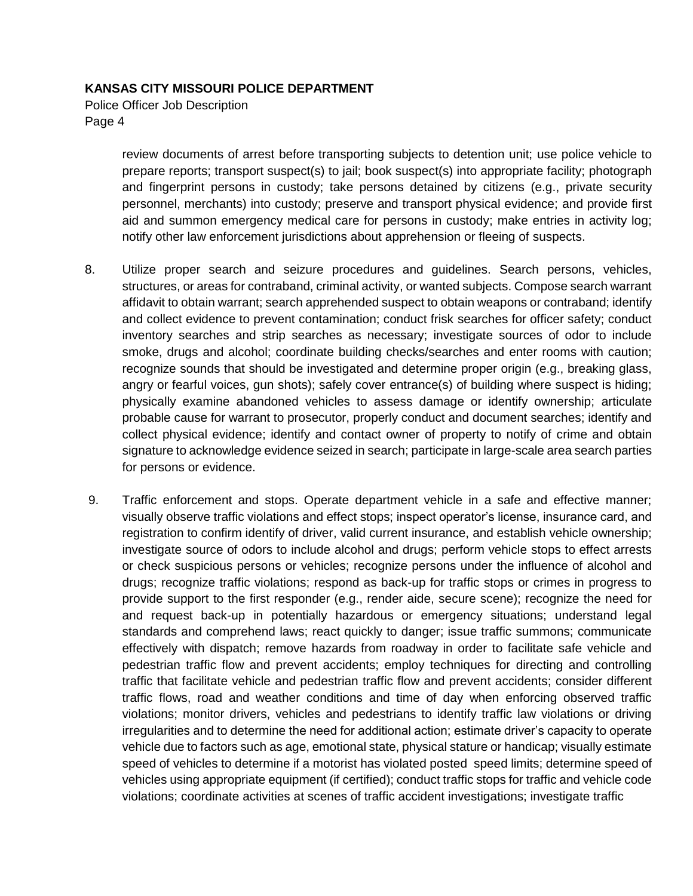Police Officer Job Description Page 4

> review documents of arrest before transporting subjects to detention unit; use police vehicle to prepare reports; transport suspect(s) to jail; book suspect(s) into appropriate facility; photograph and fingerprint persons in custody; take persons detained by citizens (e.g., private security personnel, merchants) into custody; preserve and transport physical evidence; and provide first aid and summon emergency medical care for persons in custody; make entries in activity log; notify other law enforcement jurisdictions about apprehension or fleeing of suspects.

- 8. Utilize proper search and seizure procedures and guidelines. Search persons, vehicles, structures, or areas for contraband, criminal activity, or wanted subjects. Compose search warrant affidavit to obtain warrant; search apprehended suspect to obtain weapons or contraband; identify and collect evidence to prevent contamination; conduct frisk searches for officer safety; conduct inventory searches and strip searches as necessary; investigate sources of odor to include smoke, drugs and alcohol; coordinate building checks/searches and enter rooms with caution; recognize sounds that should be investigated and determine proper origin (e.g., breaking glass, angry or fearful voices, gun shots); safely cover entrance(s) of building where suspect is hiding; physically examine abandoned vehicles to assess damage or identify ownership; articulate probable cause for warrant to prosecutor, properly conduct and document searches; identify and collect physical evidence; identify and contact owner of property to notify of crime and obtain signature to acknowledge evidence seized in search; participate in large-scale area search parties for persons or evidence.
- 9. Traffic enforcement and stops. Operate department vehicle in a safe and effective manner; visually observe traffic violations and effect stops; inspect operator's license, insurance card, and registration to confirm identify of driver, valid current insurance, and establish vehicle ownership; investigate source of odors to include alcohol and drugs; perform vehicle stops to effect arrests or check suspicious persons or vehicles; recognize persons under the influence of alcohol and drugs; recognize traffic violations; respond as back-up for traffic stops or crimes in progress to provide support to the first responder (e.g., render aide, secure scene); recognize the need for and request back-up in potentially hazardous or emergency situations; understand legal standards and comprehend laws; react quickly to danger; issue traffic summons; communicate effectively with dispatch; remove hazards from roadway in order to facilitate safe vehicle and pedestrian traffic flow and prevent accidents; employ techniques for directing and controlling traffic that facilitate vehicle and pedestrian traffic flow and prevent accidents; consider different traffic flows, road and weather conditions and time of day when enforcing observed traffic violations; monitor drivers, vehicles and pedestrians to identify traffic law violations or driving irregularities and to determine the need for additional action; estimate driver's capacity to operate vehicle due to factors such as age, emotional state, physical stature or handicap; visually estimate speed of vehicles to determine if a motorist has violated posted speed limits; determine speed of vehicles using appropriate equipment (if certified); conduct traffic stops for traffic and vehicle code violations; coordinate activities at scenes of traffic accident investigations; investigate traffic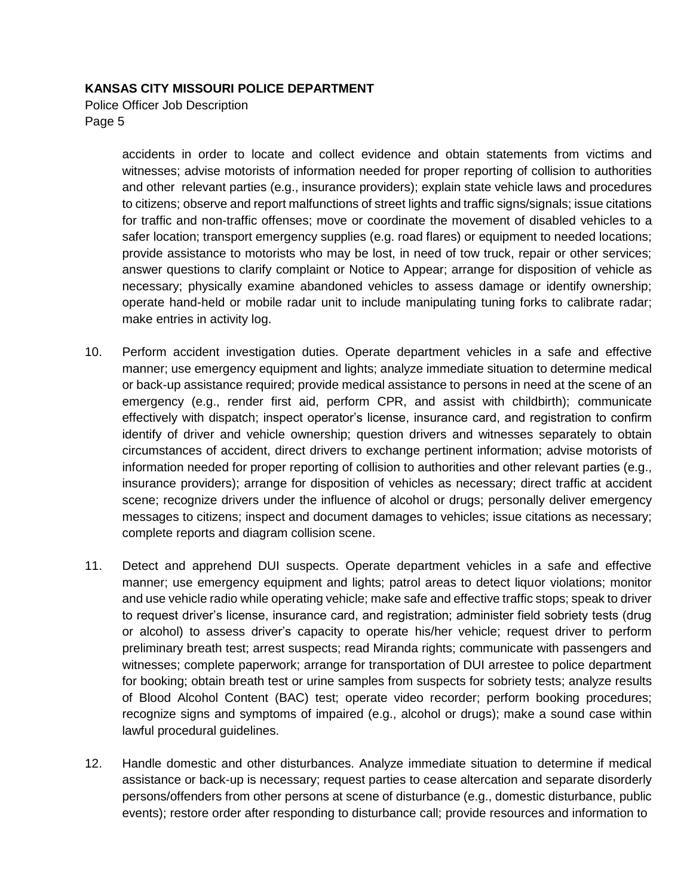Police Officer Job Description Page 5

> accidents in order to locate and collect evidence and obtain statements from victims and witnesses; advise motorists of information needed for proper reporting of collision to authorities and other relevant parties (e.g., insurance providers); explain state vehicle laws and procedures to citizens; observe and report malfunctions of street lights and traffic signs/signals; issue citations for traffic and non-traffic offenses; move or coordinate the movement of disabled vehicles to a safer location; transport emergency supplies (e.g. road flares) or equipment to needed locations; provide assistance to motorists who may be lost, in need of tow truck, repair or other services; answer questions to clarify complaint or Notice to Appear; arrange for disposition of vehicle as necessary; physically examine abandoned vehicles to assess damage or identify ownership; operate hand-held or mobile radar unit to include manipulating tuning forks to calibrate radar; make entries in activity log.

- 10. Perform accident investigation duties. Operate department vehicles in a safe and effective manner; use emergency equipment and lights; analyze immediate situation to determine medical or back-up assistance required; provide medical assistance to persons in need at the scene of an emergency (e.g., render first aid, perform CPR, and assist with childbirth); communicate effectively with dispatch; inspect operator's license, insurance card, and registration to confirm identify of driver and vehicle ownership; question drivers and witnesses separately to obtain circumstances of accident, direct drivers to exchange pertinent information; advise motorists of information needed for proper reporting of collision to authorities and other relevant parties (e.g., insurance providers); arrange for disposition of vehicles as necessary; direct traffic at accident scene; recognize drivers under the influence of alcohol or drugs; personally deliver emergency messages to citizens; inspect and document damages to vehicles; issue citations as necessary; complete reports and diagram collision scene.
- 11. Detect and apprehend DUI suspects. Operate department vehicles in a safe and effective manner; use emergency equipment and lights; patrol areas to detect liquor violations; monitor and use vehicle radio while operating vehicle; make safe and effective traffic stops; speak to driver to request driver's license, insurance card, and registration; administer field sobriety tests (drug or alcohol) to assess driver's capacity to operate his/her vehicle; request driver to perform preliminary breath test; arrest suspects; read Miranda rights; communicate with passengers and witnesses; complete paperwork; arrange for transportation of DUI arrestee to police department for booking; obtain breath test or urine samples from suspects for sobriety tests; analyze results of Blood Alcohol Content (BAC) test; operate video recorder; perform booking procedures; recognize signs and symptoms of impaired (e.g., alcohol or drugs); make a sound case within lawful procedural guidelines.
- 12. Handle domestic and other disturbances. Analyze immediate situation to determine if medical assistance or back-up is necessary; request parties to cease altercation and separate disorderly persons/offenders from other persons at scene of disturbance (e.g., domestic disturbance, public events); restore order after responding to disturbance call; provide resources and information to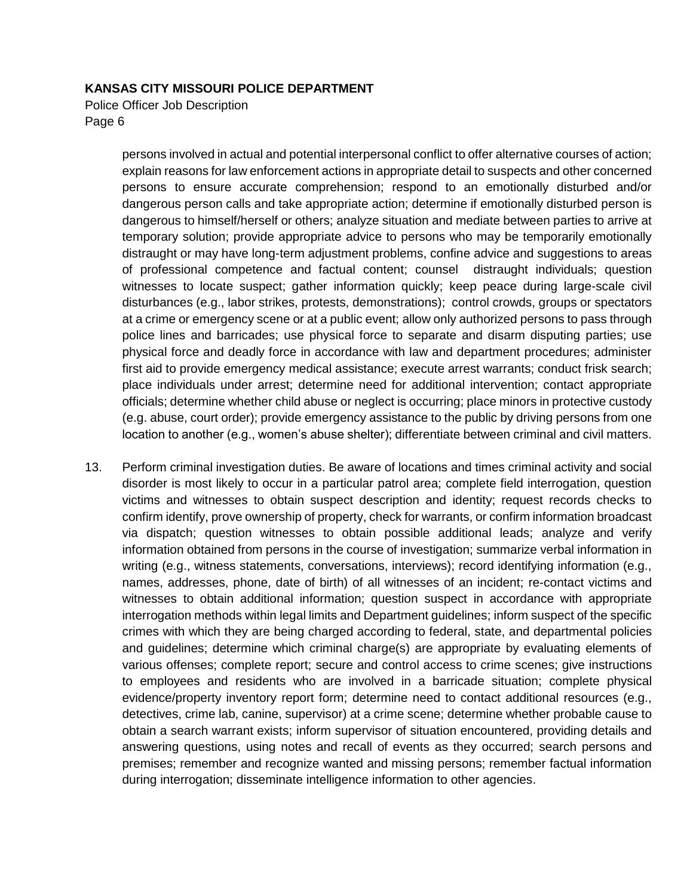Police Officer Job Description Page 6

> persons involved in actual and potential interpersonal conflict to offer alternative courses of action; explain reasons for law enforcement actions in appropriate detail to suspects and other concerned persons to ensure accurate comprehension; respond to an emotionally disturbed and/or dangerous person calls and take appropriate action; determine if emotionally disturbed person is dangerous to himself/herself or others; analyze situation and mediate between parties to arrive at temporary solution; provide appropriate advice to persons who may be temporarily emotionally distraught or may have long-term adjustment problems, confine advice and suggestions to areas of professional competence and factual content; counsel distraught individuals; question witnesses to locate suspect; gather information quickly; keep peace during large-scale civil disturbances (e.g., labor strikes, protests, demonstrations); control crowds, groups or spectators at a crime or emergency scene or at a public event; allow only authorized persons to pass through police lines and barricades; use physical force to separate and disarm disputing parties; use physical force and deadly force in accordance with law and department procedures; administer first aid to provide emergency medical assistance; execute arrest warrants; conduct frisk search; place individuals under arrest; determine need for additional intervention; contact appropriate officials; determine whether child abuse or neglect is occurring; place minors in protective custody (e.g. abuse, court order); provide emergency assistance to the public by driving persons from one location to another (e.g., women's abuse shelter); differentiate between criminal and civil matters.

13. Perform criminal investigation duties. Be aware of locations and times criminal activity and social disorder is most likely to occur in a particular patrol area; complete field interrogation, question victims and witnesses to obtain suspect description and identity; request records checks to confirm identify, prove ownership of property, check for warrants, or confirm information broadcast via dispatch; question witnesses to obtain possible additional leads; analyze and verify information obtained from persons in the course of investigation; summarize verbal information in writing (e.g., witness statements, conversations, interviews); record identifying information (e.g., names, addresses, phone, date of birth) of all witnesses of an incident; re-contact victims and witnesses to obtain additional information; question suspect in accordance with appropriate interrogation methods within legal limits and Department guidelines; inform suspect of the specific crimes with which they are being charged according to federal, state, and departmental policies and guidelines; determine which criminal charge(s) are appropriate by evaluating elements of various offenses; complete report; secure and control access to crime scenes; give instructions to employees and residents who are involved in a barricade situation; complete physical evidence/property inventory report form; determine need to contact additional resources (e.g., detectives, crime lab, canine, supervisor) at a crime scene; determine whether probable cause to obtain a search warrant exists; inform supervisor of situation encountered, providing details and answering questions, using notes and recall of events as they occurred; search persons and premises; remember and recognize wanted and missing persons; remember factual information during interrogation; disseminate intelligence information to other agencies.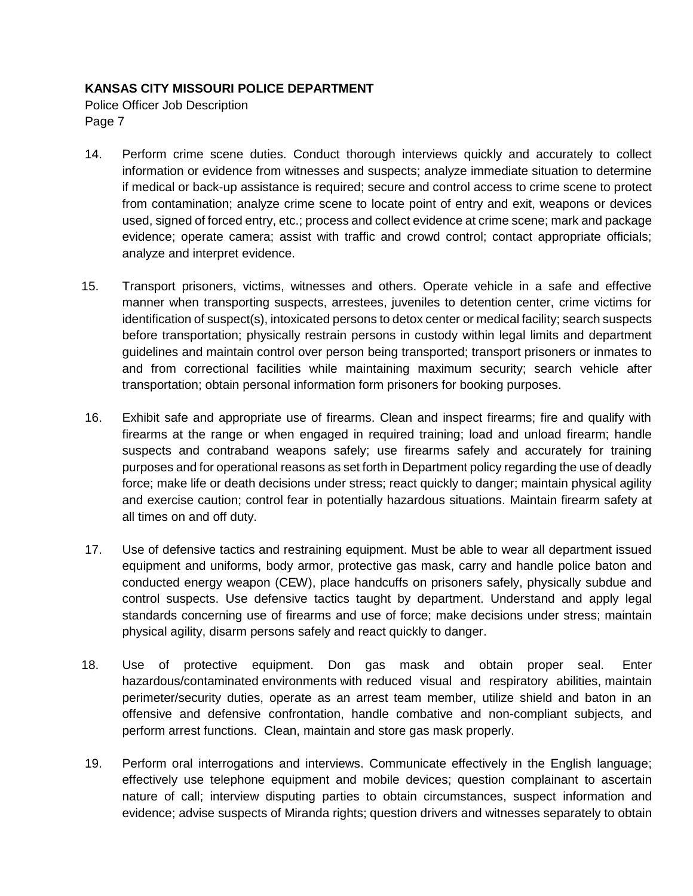Police Officer Job Description Page 7

- 14. Perform crime scene duties. Conduct thorough interviews quickly and accurately to collect information or evidence from witnesses and suspects; analyze immediate situation to determine if medical or back-up assistance is required; secure and control access to crime scene to protect from contamination; analyze crime scene to locate point of entry and exit, weapons or devices used, signed of forced entry, etc.; process and collect evidence at crime scene; mark and package evidence; operate camera; assist with traffic and crowd control; contact appropriate officials; analyze and interpret evidence.
- 15. Transport prisoners, victims, witnesses and others. Operate vehicle in a safe and effective manner when transporting suspects, arrestees, juveniles to detention center, crime victims for identification of suspect(s), intoxicated persons to detox center or medical facility; search suspects before transportation; physically restrain persons in custody within legal limits and department guidelines and maintain control over person being transported; transport prisoners or inmates to and from correctional facilities while maintaining maximum security; search vehicle after transportation; obtain personal information form prisoners for booking purposes.
- 16. Exhibit safe and appropriate use of firearms. Clean and inspect firearms; fire and qualify with firearms at the range or when engaged in required training; load and unload firearm; handle suspects and contraband weapons safely; use firearms safely and accurately for training purposes and for operational reasons as set forth in Department policy regarding the use of deadly force; make life or death decisions under stress; react quickly to danger; maintain physical agility and exercise caution; control fear in potentially hazardous situations. Maintain firearm safety at all times on and off duty.
- 17. Use of defensive tactics and restraining equipment. Must be able to wear all department issued equipment and uniforms, body armor, protective gas mask, carry and handle police baton and conducted energy weapon (CEW), place handcuffs on prisoners safely, physically subdue and control suspects. Use defensive tactics taught by department. Understand and apply legal standards concerning use of firearms and use of force; make decisions under stress; maintain physical agility, disarm persons safely and react quickly to danger.
- 18. Use of protective equipment. Don gas mask and obtain proper seal. Enter hazardous/contaminated environments with reduced visual and respiratory abilities, maintain perimeter/security duties, operate as an arrest team member, utilize shield and baton in an offensive and defensive confrontation, handle combative and non-compliant subjects, and perform arrest functions. Clean, maintain and store gas mask properly.
- 19. Perform oral interrogations and interviews. Communicate effectively in the English language; effectively use telephone equipment and mobile devices; question complainant to ascertain nature of call; interview disputing parties to obtain circumstances, suspect information and evidence; advise suspects of Miranda rights; question drivers and witnesses separately to obtain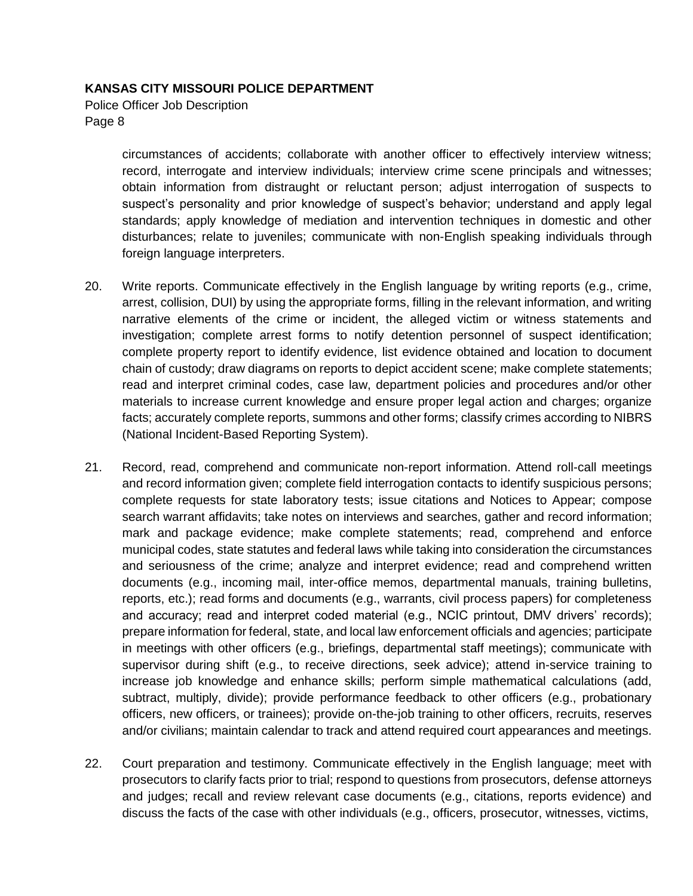Police Officer Job Description Page 8

> circumstances of accidents; collaborate with another officer to effectively interview witness; record, interrogate and interview individuals; interview crime scene principals and witnesses; obtain information from distraught or reluctant person; adjust interrogation of suspects to suspect's personality and prior knowledge of suspect's behavior; understand and apply legal standards; apply knowledge of mediation and intervention techniques in domestic and other disturbances; relate to juveniles; communicate with non-English speaking individuals through foreign language interpreters.

- 20. Write reports. Communicate effectively in the English language by writing reports (e.g., crime, arrest, collision, DUI) by using the appropriate forms, filling in the relevant information, and writing narrative elements of the crime or incident, the alleged victim or witness statements and investigation; complete arrest forms to notify detention personnel of suspect identification; complete property report to identify evidence, list evidence obtained and location to document chain of custody; draw diagrams on reports to depict accident scene; make complete statements; read and interpret criminal codes, case law, department policies and procedures and/or other materials to increase current knowledge and ensure proper legal action and charges; organize facts; accurately complete reports, summons and other forms; classify crimes according to NIBRS (National Incident-Based Reporting System).
- 21. Record, read, comprehend and communicate non-report information. Attend roll-call meetings and record information given; complete field interrogation contacts to identify suspicious persons; complete requests for state laboratory tests; issue citations and Notices to Appear; compose search warrant affidavits; take notes on interviews and searches, gather and record information; mark and package evidence; make complete statements; read, comprehend and enforce municipal codes, state statutes and federal laws while taking into consideration the circumstances and seriousness of the crime; analyze and interpret evidence; read and comprehend written documents (e.g., incoming mail, inter-office memos, departmental manuals, training bulletins, reports, etc.); read forms and documents (e.g., warrants, civil process papers) for completeness and accuracy; read and interpret coded material (e.g., NCIC printout, DMV drivers' records); prepare information for federal, state, and local law enforcement officials and agencies; participate in meetings with other officers (e.g., briefings, departmental staff meetings); communicate with supervisor during shift (e.g., to receive directions, seek advice); attend in-service training to increase job knowledge and enhance skills; perform simple mathematical calculations (add, subtract, multiply, divide); provide performance feedback to other officers (e.g., probationary officers, new officers, or trainees); provide on-the-job training to other officers, recruits, reserves and/or civilians; maintain calendar to track and attend required court appearances and meetings.
- 22. Court preparation and testimony. Communicate effectively in the English language; meet with prosecutors to clarify facts prior to trial; respond to questions from prosecutors, defense attorneys and judges; recall and review relevant case documents (e.g., citations, reports evidence) and discuss the facts of the case with other individuals (e.g., officers, prosecutor, witnesses, victims,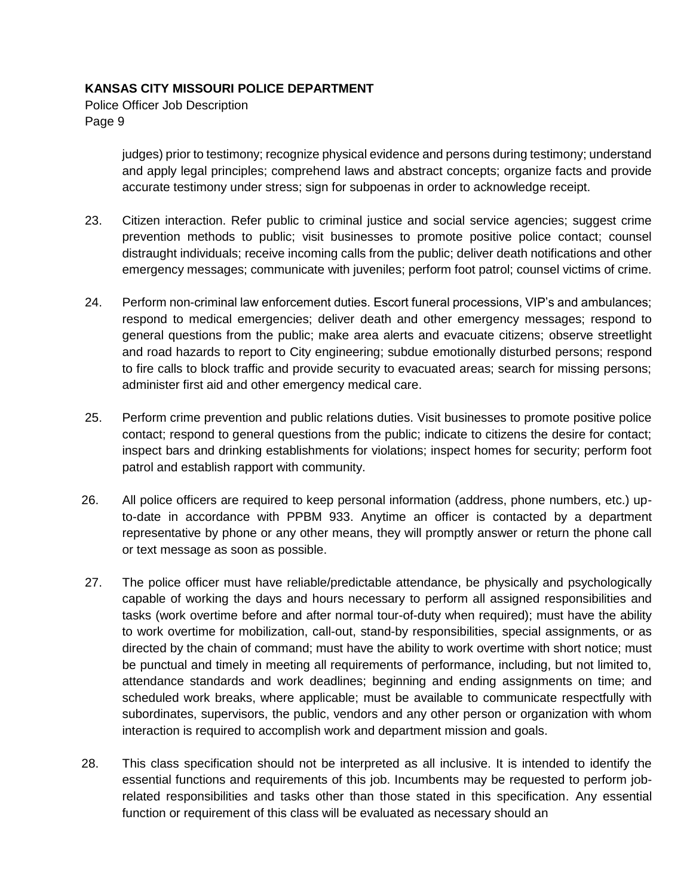Police Officer Job Description Page 9

> judges) prior to testimony; recognize physical evidence and persons during testimony; understand and apply legal principles; comprehend laws and abstract concepts; organize facts and provide accurate testimony under stress; sign for subpoenas in order to acknowledge receipt.

- 23. Citizen interaction. Refer public to criminal justice and social service agencies; suggest crime prevention methods to public; visit businesses to promote positive police contact; counsel distraught individuals; receive incoming calls from the public; deliver death notifications and other emergency messages; communicate with juveniles; perform foot patrol; counsel victims of crime.
- 24. Perform non-criminal law enforcement duties. Escort funeral processions, VIP's and ambulances; respond to medical emergencies; deliver death and other emergency messages; respond to general questions from the public; make area alerts and evacuate citizens; observe streetlight and road hazards to report to City engineering; subdue emotionally disturbed persons; respond to fire calls to block traffic and provide security to evacuated areas; search for missing persons; administer first aid and other emergency medical care.
- 25. Perform crime prevention and public relations duties. Visit businesses to promote positive police contact; respond to general questions from the public; indicate to citizens the desire for contact; inspect bars and drinking establishments for violations; inspect homes for security; perform foot patrol and establish rapport with community.
- 26. All police officers are required to keep personal information (address, phone numbers, etc.) upto-date in accordance with PPBM 933. Anytime an officer is contacted by a department representative by phone or any other means, they will promptly answer or return the phone call or text message as soon as possible.
- 27. The police officer must have reliable/predictable attendance, be physically and psychologically capable of working the days and hours necessary to perform all assigned responsibilities and tasks (work overtime before and after normal tour-of-duty when required); must have the ability to work overtime for mobilization, call-out, stand-by responsibilities, special assignments, or as directed by the chain of command; must have the ability to work overtime with short notice; must be punctual and timely in meeting all requirements of performance, including, but not limited to, attendance standards and work deadlines; beginning and ending assignments on time; and scheduled work breaks, where applicable; must be available to communicate respectfully with subordinates, supervisors, the public, vendors and any other person or organization with whom interaction is required to accomplish work and department mission and goals.
- 28. This class specification should not be interpreted as all inclusive. It is intended to identify the essential functions and requirements of this job. Incumbents may be requested to perform jobrelated responsibilities and tasks other than those stated in this specification. Any essential function or requirement of this class will be evaluated as necessary should an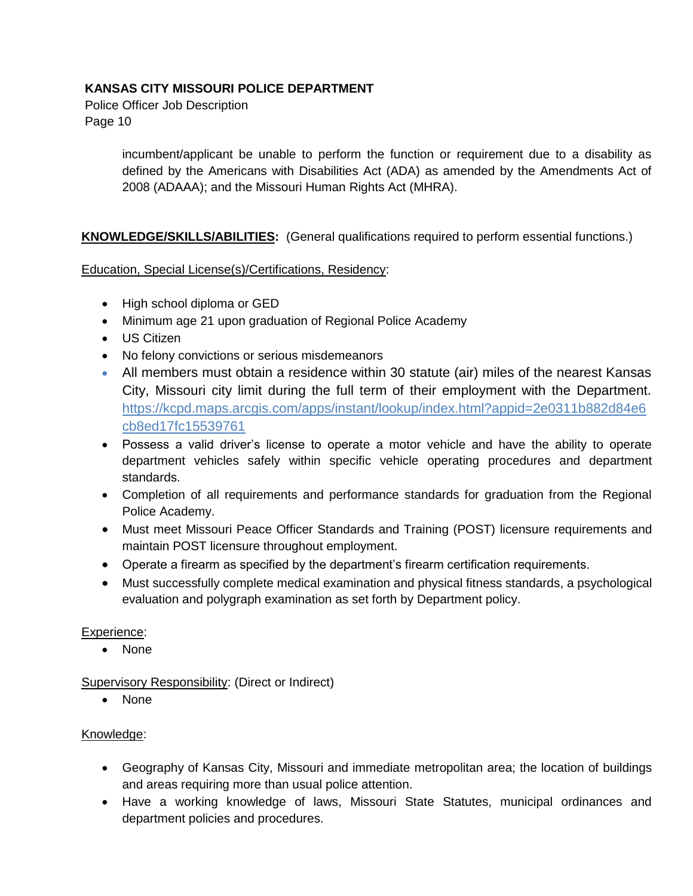Police Officer Job Description Page 10

> incumbent/applicant be unable to perform the function or requirement due to a disability as defined by the Americans with Disabilities Act (ADA) as amended by the Amendments Act of 2008 (ADAAA); and the Missouri Human Rights Act (MHRA).

## **KNOWLEDGE/SKILLS/ABILITIES:** (General qualifications required to perform essential functions.)

#### Education, Special License(s)/Certifications, Residency:

- High school diploma or GED
- Minimum age 21 upon graduation of Regional Police Academy
- US Citizen
- No felony convictions or serious misdemeanors
- All members must obtain a residence within 30 statute (air) miles of the nearest Kansas City, Missouri city limit during the full term of their employment with the Department. [https://kcpd.maps.arcgis.com/apps/instant/lookup/index.html?appid=2e0311b882d84e6](https://kcpd.maps.arcgis.com/apps/instant/lookup/index.html?appid=2e0311b882d84e6cb8ed17fc15539761) [cb8ed17fc15539761](https://kcpd.maps.arcgis.com/apps/instant/lookup/index.html?appid=2e0311b882d84e6cb8ed17fc15539761)
- Possess a valid driver's license to operate a motor vehicle and have the ability to operate department vehicles safely within specific vehicle operating procedures and department standards.
- Completion of all requirements and performance standards for graduation from the Regional Police Academy.
- Must meet Missouri Peace Officer Standards and Training (POST) licensure requirements and maintain POST licensure throughout employment.
- Operate a firearm as specified by the department's firearm certification requirements.
- Must successfully complete medical examination and physical fitness standards, a psychological evaluation and polygraph examination as set forth by Department policy.

#### Experience:

• None

Supervisory Responsibility: (Direct or Indirect)

• None

#### Knowledge:

- Geography of Kansas City, Missouri and immediate metropolitan area; the location of buildings and areas requiring more than usual police attention.
- Have a working knowledge of laws, Missouri State Statutes, municipal ordinances and department policies and procedures.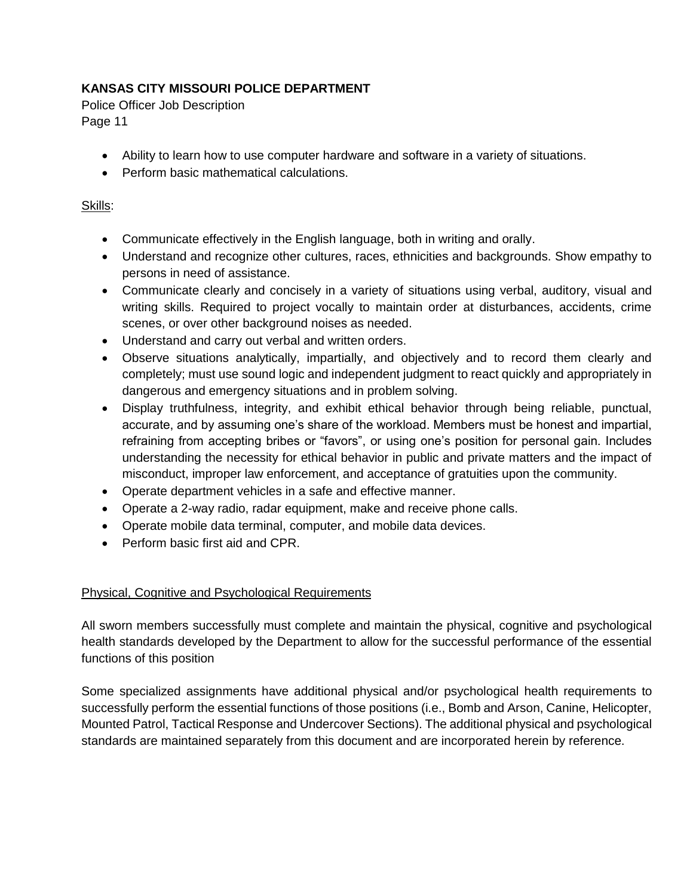Police Officer Job Description Page 11

- Ability to learn how to use computer hardware and software in a variety of situations.
- Perform basic mathematical calculations.

## Skills:

- Communicate effectively in the English language, both in writing and orally.
- Understand and recognize other cultures, races, ethnicities and backgrounds. Show empathy to persons in need of assistance.
- Communicate clearly and concisely in a variety of situations using verbal, auditory, visual and writing skills. Required to project vocally to maintain order at disturbances, accidents, crime scenes, or over other background noises as needed.
- Understand and carry out verbal and written orders.
- Observe situations analytically, impartially, and objectively and to record them clearly and completely; must use sound logic and independent judgment to react quickly and appropriately in dangerous and emergency situations and in problem solving.
- Display truthfulness, integrity, and exhibit ethical behavior through being reliable, punctual, accurate, and by assuming one's share of the workload. Members must be honest and impartial, refraining from accepting bribes or "favors", or using one's position for personal gain. Includes understanding the necessity for ethical behavior in public and private matters and the impact of misconduct, improper law enforcement, and acceptance of gratuities upon the community.
- Operate department vehicles in a safe and effective manner.
- Operate a 2-way radio, radar equipment, make and receive phone calls.
- Operate mobile data terminal, computer, and mobile data devices.
- Perform basic first aid and CPR.

## Physical, Cognitive and Psychological Requirements

All sworn members successfully must complete and maintain the physical, cognitive and psychological health standards developed by the Department to allow for the successful performance of the essential functions of this position

Some specialized assignments have additional physical and/or psychological health requirements to successfully perform the essential functions of those positions (i.e., Bomb and Arson, Canine, Helicopter, Mounted Patrol, Tactical Response and Undercover Sections). The additional physical and psychological standards are maintained separately from this document and are incorporated herein by reference.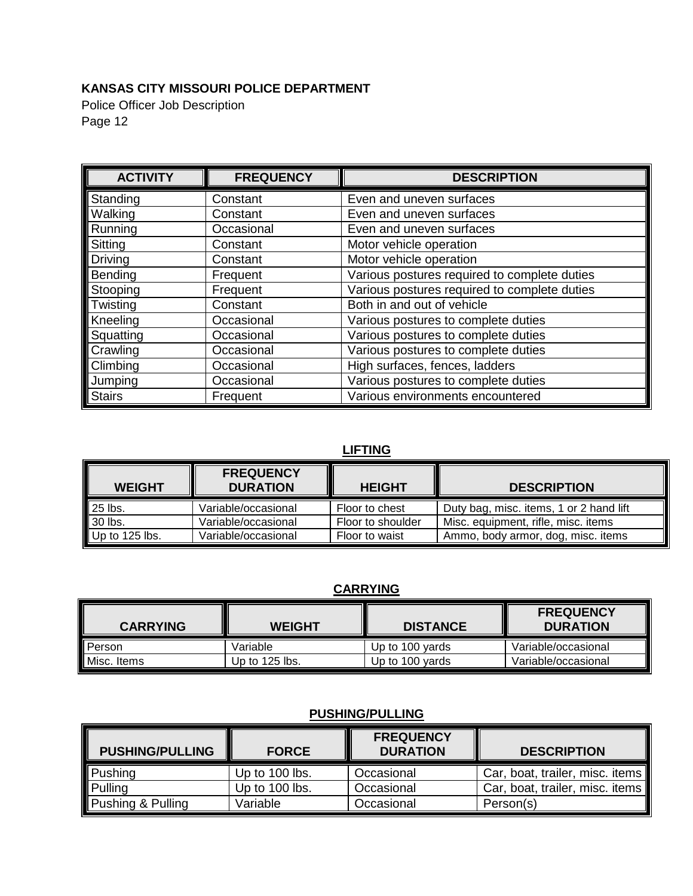Police Officer Job Description Page 12

| <b>ACTIVITY</b> | <b>FREQUENCY</b> | <b>DESCRIPTION</b>                           |
|-----------------|------------------|----------------------------------------------|
| Standing        | Constant         | Even and uneven surfaces                     |
| Walking         | Constant         | Even and uneven surfaces                     |
| Running         | Occasional       | Even and uneven surfaces                     |
| Sitting         | Constant         | Motor vehicle operation                      |
| <b>Driving</b>  | Constant         | Motor vehicle operation                      |
| Bending         | Frequent         | Various postures required to complete duties |
| Stooping        | Frequent         | Various postures required to complete duties |
| Twisting        | Constant         | Both in and out of vehicle                   |
| Kneeling        | Occasional       | Various postures to complete duties          |
| Squatting       | Occasional       | Various postures to complete duties          |
| Crawling        | Occasional       | Various postures to complete duties          |
| Climbing        | Occasional       | High surfaces, fences, ladders               |
| Jumping         | Occasional       | Various postures to complete duties          |
| <b>Stairs</b>   | Frequent         | Various environments encountered             |

# **LIFTING**

| <b>WEIGHT</b>                 | <b>FREQUENCY</b><br><b>DURATION</b> | <b>HEIGHT</b>     | <b>DESCRIPTION</b>                      |
|-------------------------------|-------------------------------------|-------------------|-----------------------------------------|
| $25$ lbs.                     | Variable/occasional                 | Floor to chest    | Duty bag, misc. items, 1 or 2 hand lift |
| 30 lbs.                       | Variable/occasional                 | Floor to shoulder | Misc. equipment, rifle, misc. items     |
| $\blacksquare$ Up to 125 lbs. | Variable/occasional                 | Floor to waist    | Ammo, body armor, dog, misc. items      |

# **CARRYING**

| <b>CARRYING</b> | <b>WEIGHT</b>    | <b>DISTANCE</b> | <b>FREQUENCY</b><br><b>DURATION</b> |
|-----------------|------------------|-----------------|-------------------------------------|
| Person          | Variable         | Up to 100 yards | Variable/occasional                 |
| Misc. Items     | Up to $125$ lbs. | Up to 100 yards | Variable/occasional                 |

# **PUSHING/PULLING**

| <b>PUSHING/PULLING</b> | <b>FORCE</b>   | <b>FREQUENCY</b><br><b>DURATION</b> | <b>DESCRIPTION</b>              |
|------------------------|----------------|-------------------------------------|---------------------------------|
| Pushing                | Up to 100 lbs. | Occasional                          | Car, boat, trailer, misc. items |
| <b>Pulling</b>         | Up to 100 lbs. | Occasional                          | Car, boat, trailer, misc. items |
| Pushing & Pulling      | Variable       | Occasional                          | Person(s)                       |